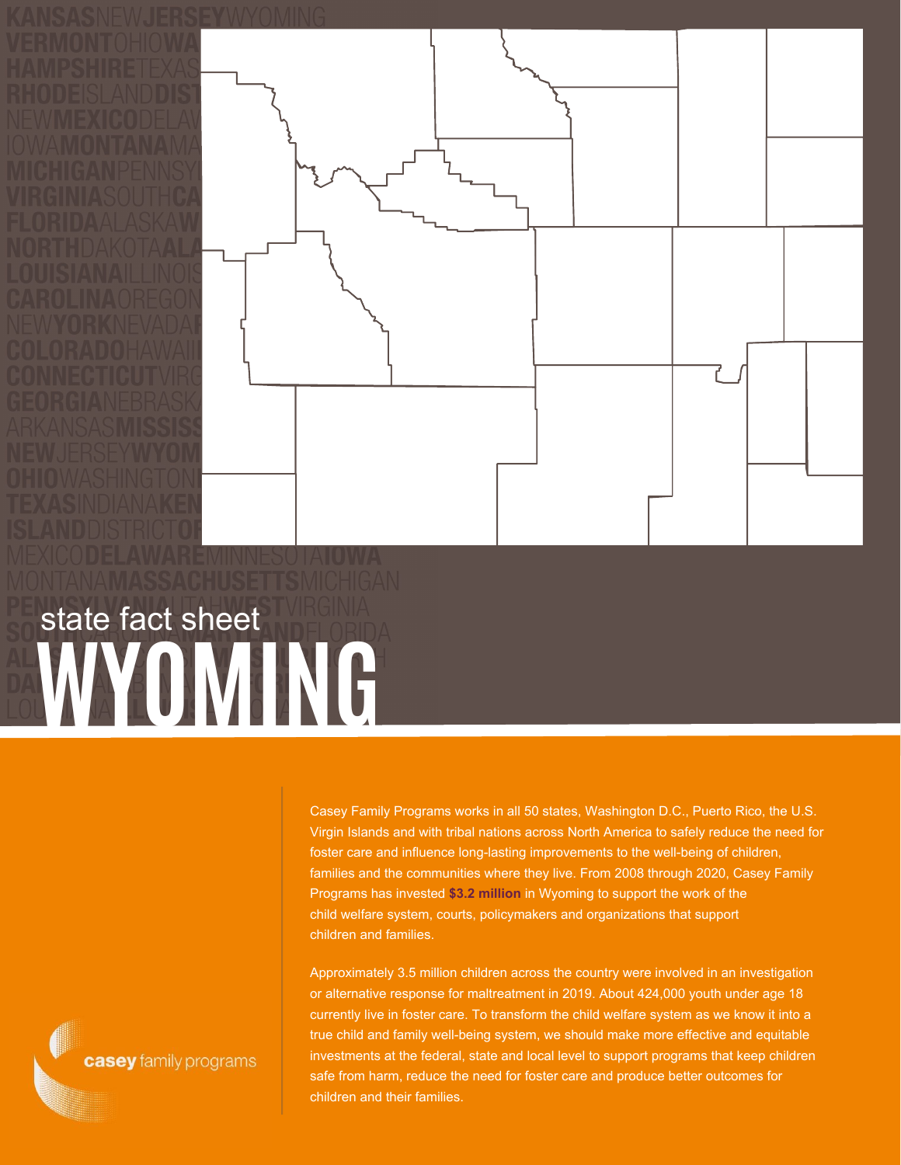

## **WYOMING** state fact sheet

Casey Family Programs works in all 50 states, Washington D.C., Puerto Rico, the U.S. Virgin Islands and with tribal nations across North America to safely reduce the need for foster care and influence long-lasting improvements to the well-being of children, families and the communities where they live. From 2008 through 2020, Casey Family Programs has invested **\$3.2 million** in Wyoming to support the work of the child welfare system, courts, policymakers and organizations that support children and families.

Approximately 3.5 million children across the country were involved in an investigation or alternative response for maltreatment in 2019. About 424,000 youth under age 18 currently live in foster care. To transform the child welfare system as we know it into a true child and family well-being system, we should make more effective and equitable investments at the federal, state and local level to support programs that keep children safe from harm, reduce the need for foster care and produce better outcomes for children and their families.

casey family programs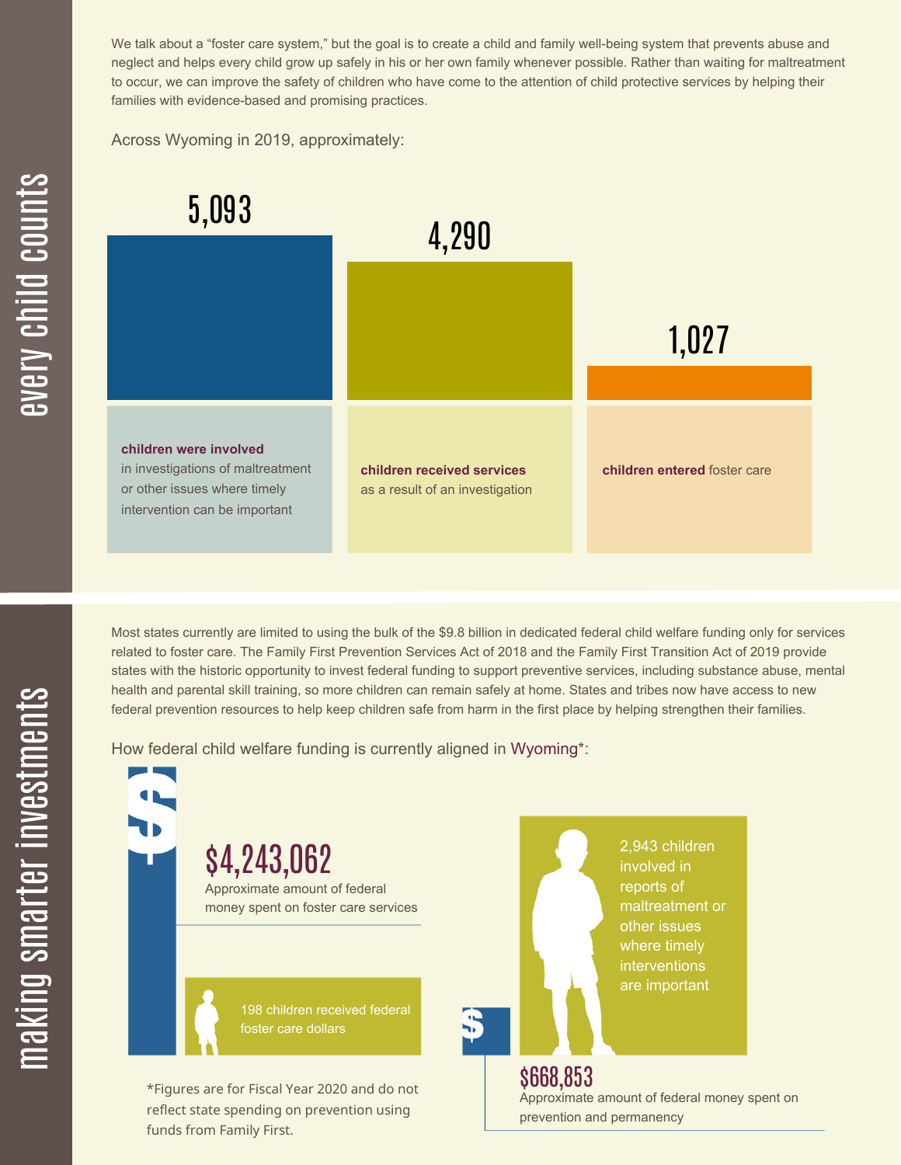We talk about a "foster care system," but the goal is to create a child and family well-being system that prevents abuse and neglect and helps every child grow up safely in his or her own family whenever possible. Rather than waiting for maltreatment to occur, we can improve the safety of children who have come to the attention of child protective services by helping their families with evidence-based and promising practices.

Across Wyoming in 2019, approximately:



Most states currently are limited to using the bulk of the \$9.8 billion in dedicated federal child welfare funding only for services related to foster care. The Family First Prevention Services Act of 2018 and the Family First Transition Act of 2019 provide states with the historic opportunity to invest federal funding to support preventive services, including substance abuse, mental health and parental skill training, so more children can remain safely at home. States and tribes now have access to new federal prevention resources to help keep children safe from harm in the first place by helping strengthen their families.

How federal child welfare funding is currently aligned in Wyoming\*:

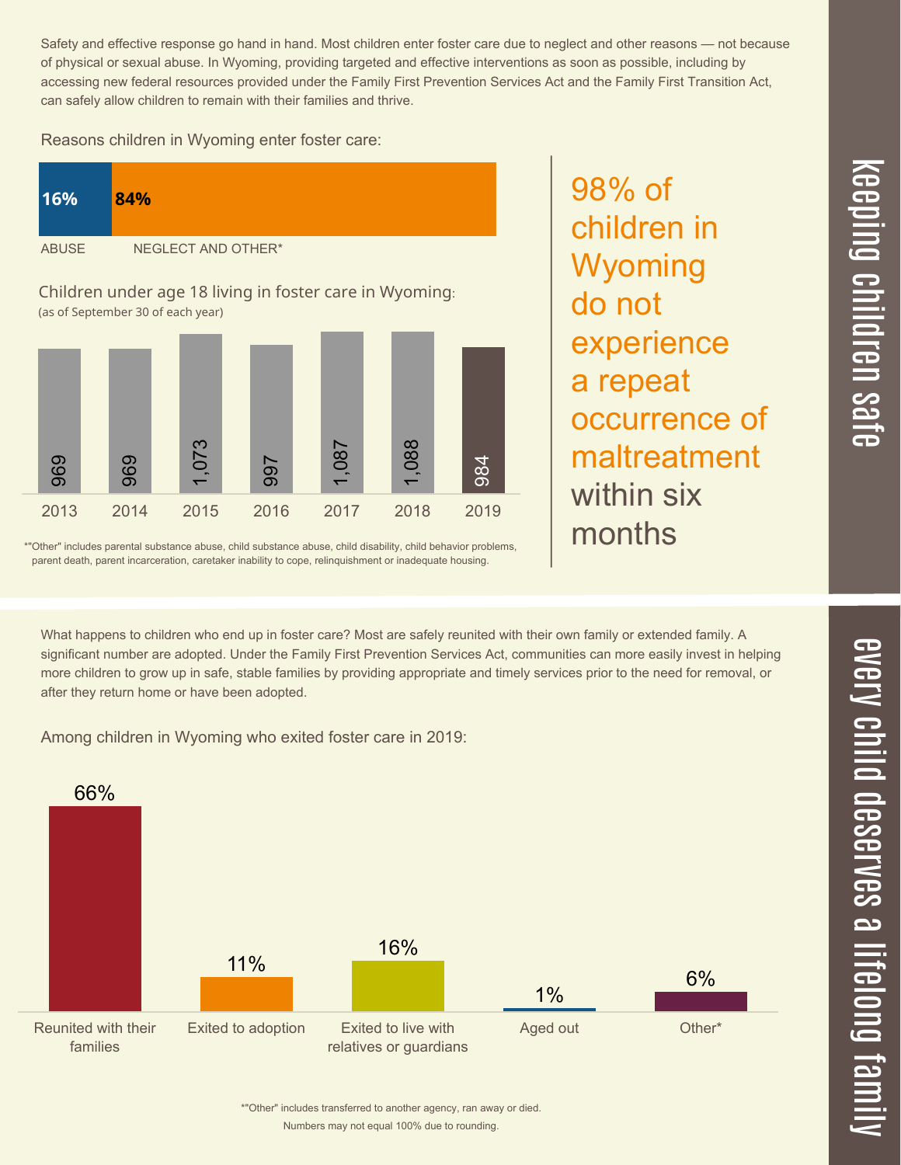$\overline{\phantom{1}}$  $\overline{\mathbf \Theta}$  $\overline{\mathbf{C}}$ <u>pin</u>  $\overline{\mathbf{C}}$  $\overline{\mathbf{C}}$  $\equiv$  $\overline{\mathbf{c}}$  $\overline{\phantom{0}}$  $\boldsymbol{\mathcal{O}}$ a  $\overrightarrow{\mathbf{e}}$ 

Safety and effective response go hand in hand. Most children enter foster care due to neglect and other reasons — not because of physical or sexual abuse. In Wyoming, providing targeted and effective interventions as soon as possible, including by accessing new federal resources provided under the Family First Prevention Services Act and the Family First Transition Act, can safely allow children to remain with their families and thrive.

98% of

children in

Wyoming

experience

occurrence of

maltreatment

a repeat

within six

months

do not

Reasons children in Wyoming enter foster care:



\*"Other" includes parental substance abuse, child substance abuse, child disability, child behavior problems, parent death, parent incarceration, caretaker inability to cope, relinquishment or inadequate housing.

What happens to children who end up in foster care? Most are safely reunited with their own family or extended family. A significant number are adopted. Under the Family First Prevention Services Act, communities can more easily invest in helping more children to grow up in safe, stable families by providing appropriate and timely services prior to the need for removal, or after they return home or have been adopted.

Among children in Wyoming who exited foster care in 2019: